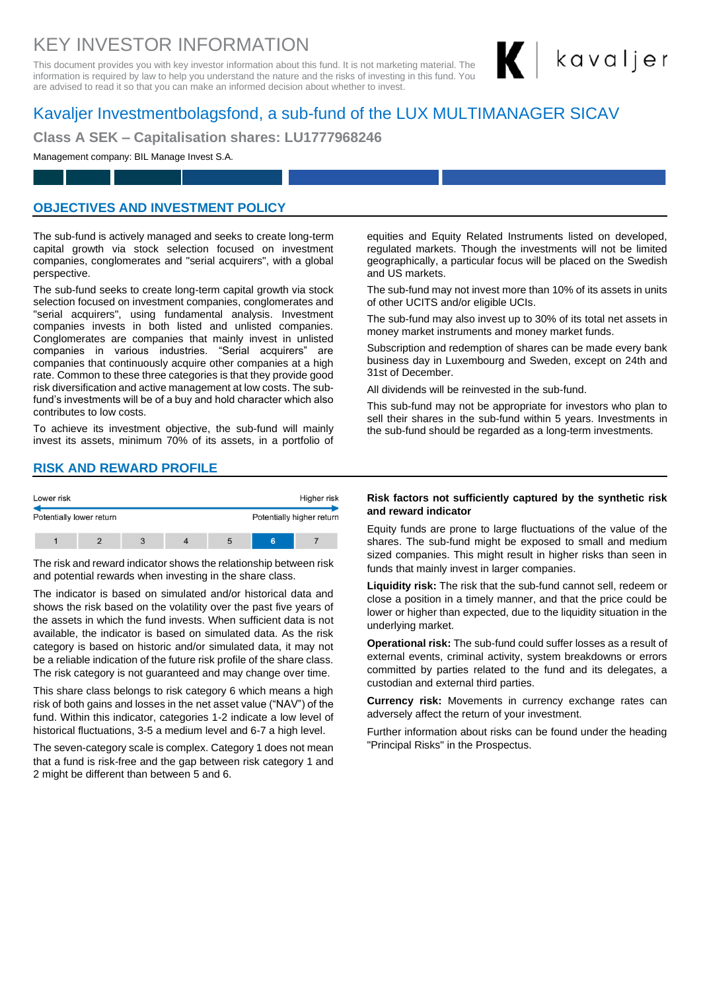# KEY INVESTOR INFORMATION

This document provides you with key investor information about this fund. It is not marketing material. The information is required by law to help you understand the nature and the risks of investing in this fund. You are advised to read it so that you can make an informed decision about whether to invest.

# Kavaljer Investmentbolagsfond, a sub-fund of the LUX MULTIMANAGER SICAV

**Class A SEK – Capitalisation shares: LU1777968246**

#### Management company: BIL Manage Invest S.A.

### **OBJECTIVES AND INVESTMENT POLICY**

The sub-fund is actively managed and seeks to create long-term capital growth via stock selection focused on investment companies, conglomerates and "serial acquirers", with a global perspective.

The sub-fund seeks to create long-term capital growth via stock selection focused on investment companies, conglomerates and "serial acquirers", using fundamental analysis. Investment companies invests in both listed and unlisted companies. Conglomerates are companies that mainly invest in unlisted companies in various industries. "Serial acquirers" are companies that continuously acquire other companies at a high rate. Common to these three categories is that they provide good risk diversification and active management at low costs. The subfund's investments will be of a buy and hold character which also contributes to low costs.

To achieve its investment objective, the sub-fund will mainly invest its assets, minimum 70% of its assets, in a portfolio of

### **RISK AND REWARD PROFILE**

| Lower risk               |  |  |  |                           | Higher risk |  |  |
|--------------------------|--|--|--|---------------------------|-------------|--|--|
| Potentially lower return |  |  |  | Potentially higher return |             |  |  |
|                          |  |  |  |                           |             |  |  |

The risk and reward indicator shows the relationship between risk and potential rewards when investing in the share class.

The indicator is based on simulated and/or historical data and shows the risk based on the volatility over the past five years of the assets in which the fund invests. When sufficient data is not available, the indicator is based on simulated data. As the risk category is based on historic and/or simulated data, it may not be a reliable indication of the future risk profile of the share class. The risk category is not guaranteed and may change over time.

This share class belongs to risk category 6 which means a high risk of both gains and losses in the net asset value ("NAV") of the fund. Within this indicator, categories 1-2 indicate a low level of historical fluctuations, 3-5 a medium level and 6-7 a high level.

The seven-category scale is complex. Category 1 does not mean that a fund is risk-free and the gap between risk category 1 and 2 might be different than between 5 and 6.

equities and Equity Related Instruments listed on developed, regulated markets. Though the investments will not be limited geographically, a particular focus will be placed on the Swedish and US markets.

kavaljer

The sub-fund may not invest more than 10% of its assets in units of other UCITS and/or eligible UCIs.

The sub-fund may also invest up to 30% of its total net assets in money market instruments and money market funds.

Subscription and redemption of shares can be made every bank business day in Luxembourg and Sweden, except on 24th and 31st of December.

All dividends will be reinvested in the sub-fund.

This sub-fund may not be appropriate for investors who plan to sell their shares in the sub-fund within 5 years. Investments in the sub-fund should be regarded as a long-term investments.

#### **Risk factors not sufficiently captured by the synthetic risk and reward indicator**

Equity funds are prone to large fluctuations of the value of the shares. The sub-fund might be exposed to small and medium sized companies. This might result in higher risks than seen in funds that mainly invest in larger companies.

**Liquidity risk:** The risk that the sub-fund cannot sell, redeem or close a position in a timely manner, and that the price could be lower or higher than expected, due to the liquidity situation in the underlying market.

**Operational risk:** The sub-fund could suffer losses as a result of external events, criminal activity, system breakdowns or errors committed by parties related to the fund and its delegates, a custodian and external third parties.

**Currency risk:** Movements in currency exchange rates can adversely affect the return of your investment.

Further information about risks can be found under the heading "Principal Risks" in the Prospectus.